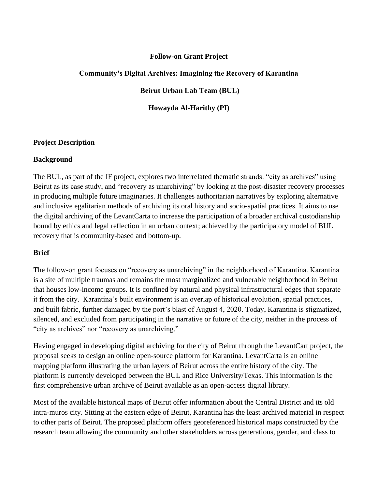# **Follow-on Grant Project**

# **Community's Digital Archives: Imagining the Recovery of Karantina**

**Beirut Urban Lab Team (BUL)**

**Howayda Al-Harithy (PI)**

#### **Project Description**

#### **Background**

The BUL, as part of the IF project, explores two interrelated thematic strands: "city as archives" using Beirut as its case study, and "recovery as unarchiving" by looking at the post-disaster recovery processes in producing multiple future imaginaries. It challenges authoritarian narratives by exploring alternative and inclusive egalitarian methods of archiving its oral history and socio-spatial practices. It aims to use the digital archiving of the LevantCarta to increase the participation of a broader archival custodianship bound by ethics and legal reflection in an urban context; achieved by the participatory model of BUL recovery that is community-based and bottom-up.

#### **Brief**

The follow-on grant focuses on "recovery as unarchiving" in the neighborhood of Karantina. Karantina is a site of multiple traumas and remains the most marginalized and vulnerable neighborhood in Beirut that houses low-income groups. It is confined by natural and physical infrastructural edges that separate it from the city. Karantina's built environment is an overlap of historical evolution, spatial practices, and built fabric, further damaged by the port's blast of August 4, 2020. Today, Karantina is stigmatized, silenced, and excluded from participating in the narrative or future of the city, neither in the process of "city as archives" nor "recovery as unarchiving."

Having engaged in developing digital archiving for the city of Beirut through the LevantCart project, the proposal seeks to design an online open-source platform for Karantina. LevantCarta is an online mapping platform illustrating the urban layers of Beirut across the entire history of the city. The platform is currently developed between the BUL and Rice University/Texas. This information is the first comprehensive urban archive of Beirut available as an open-access digital library.

Most of the available historical maps of Beirut offer information about the Central District and its old intra-muros city. Sitting at the eastern edge of Beirut, Karantina has the least archived material in respect to other parts of Beirut. The proposed platform offers georeferenced historical maps constructed by the research team allowing the community and other stakeholders across generations, gender, and class to